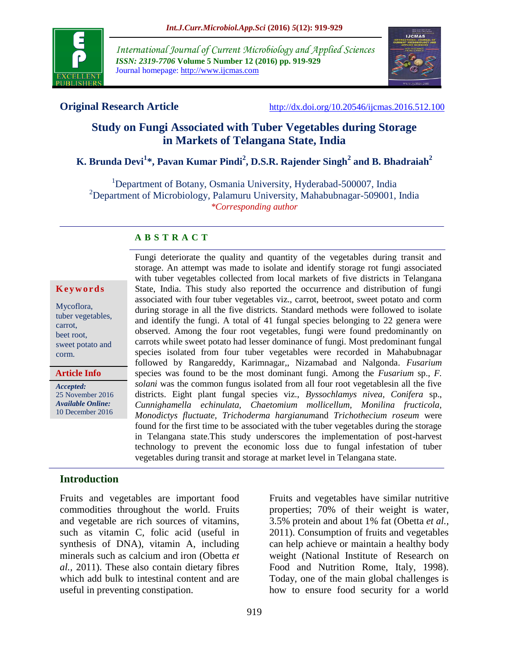

*International Journal of Current Microbiology and Applied Sciences ISSN: 2319-7706* **Volume 5 Number 12 (2016) pp. 919-929** Journal homepage: http://www.ijcmas.com



**Original Research Article** <http://dx.doi.org/10.20546/ijcmas.2016.512.100>

# **Study on Fungi Associated with Tuber Vegetables during Storage in Markets of Telangana State, India**

# **K. Brunda Devi<sup>1</sup> \*, Pavan Kumar Pindi<sup>2</sup> , D.S.R. Rajender Singh<sup>2</sup> and B. Bhadraiah<sup>2</sup>**

<sup>1</sup>Department of Botany, Osmania University, Hyderabad-500007, India <sup>2</sup>Department of Microbiology, Palamuru University, Mahabubnagar-509001, India *\*Corresponding author*

#### **A B S T R A C T**

#### **K e y w o r d s**

Mycoflora, tuber vegetables, carrot, beet root, sweet potato and corm.

#### **Article Info**

*Accepted:*  25 November 2016 *Available Online:* 10 December 2016 Fungi deteriorate the quality and quantity of the vegetables during transit and storage. An attempt was made to isolate and identify storage rot fungi associated with tuber vegetables collected from local markets of five districts in Telangana State, India. This study also reported the occurrence and distribution of fungi associated with four tuber vegetables viz., carrot, beetroot, sweet potato and corm during storage in all the five districts. Standard methods were followed to isolate and identify the fungi. A total of 41 fungal species belonging to 22 genera were observed. Among the four root vegetables, fungi were found predominantly on carrots while sweet potato had lesser dominance of fungi. Most predominant fungal species isolated from four tuber vegetables were recorded in Mahabubnagar followed by Rangareddy, Karimnagar,, Nizamabad and Nalgonda. *Fusarium*  species was found to be the most dominant fungi. Among the *Fusarium* sp., *F. solani* was the common fungus isolated from all four root vegetablesin all the five districts. Eight plant fungal species viz., *Byssochlamys nivea, Conifera* sp., *Cunnighamella echinulata, Chaetomium mollicellum, Monilina fructicola, Monodictys fluctuate, Trichoderma hargianum*and *Trichothecium roseum* were found for the first time to be associated with the tuber vegetables during the storage in Telangana state.This study underscores the implementation of post-harvest technology to prevent the economic loss due to fungal infestation of tuber vegetables during transit and storage at market level in Telangana state.

## **Introduction**

Fruits and vegetables are important food commodities throughout the world. Fruits and vegetable are rich sources of vitamins, such as vitamin C, folic acid (useful in synthesis of DNA), vitamin A, including minerals such as calcium and iron (Obetta *et al.,* 2011). These also contain dietary fibres which add bulk to intestinal content and are useful in preventing constipation.

Fruits and vegetables have similar nutritive properties; 70% of their weight is water, 3.5% protein and about 1% fat (Obetta *et al.,* 2011). Consumption of fruits and vegetables can help achieve or maintain a healthy body weight (National Institute of Research on Food and Nutrition Rome, Italy, 1998). Today, one of the main global challenges is how to ensure food security for a world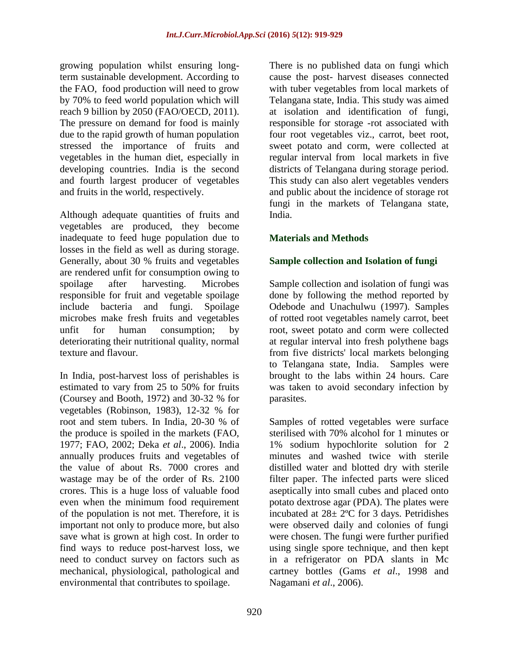growing population whilst ensuring longterm sustainable development. According to the FAO, food production will need to grow by 70% to feed world population which will reach 9 billion by 2050 (FAO/OECD, 2011). The pressure on demand for food is mainly due to the rapid growth of human population stressed the importance of fruits and vegetables in the human diet, especially in developing countries. India is the second and fourth largest producer of vegetables and fruits in the world, respectively.

Although adequate quantities of fruits and vegetables are produced, they become inadequate to feed huge population due to losses in the field as well as during storage. Generally, about 30 % fruits and vegetables are rendered unfit for consumption owing to spoilage after harvesting. Microbes responsible for fruit and vegetable spoilage include bacteria and fungi. Spoilage microbes make fresh fruits and vegetables unfit for human consumption; by deteriorating their nutritional quality, normal texture and flavour.

In India, post-harvest loss of perishables is estimated to vary from 25 to 50% for fruits (Coursey and Booth, 1972) and 30-32 % for vegetables (Robinson, 1983), 12-32 % for root and stem tubers. In India, 20-30 % of the produce is spoiled in the markets (FAO, 1977; FAO, 2002; Deka *et al*., 2006). India annually produces fruits and vegetables of the value of about Rs. 7000 crores and wastage may be of the order of Rs. 2100 crores. This is a huge loss of valuable food even when the minimum food requirement of the population is not met. Therefore, it is important not only to produce more, but also save what is grown at high cost. In order to find ways to reduce post-harvest loss, we need to conduct survey on factors such as mechanical, physiological, pathological and environmental that contributes to spoilage.

There is no published data on fungi which cause the post- harvest diseases connected with tuber vegetables from local markets of Telangana state, India. This study was aimed at isolation and identification of fungi, responsible for storage -rot associated with four root vegetables viz., carrot, beet root, sweet potato and corm, were collected at regular interval from local markets in five districts of Telangana during storage period. This study can also alert vegetables venders and public about the incidence of storage rot fungi in the markets of Telangana state, India.

# **Materials and Methods**

## **Sample collection and Isolation of fungi**

Sample collection and isolation of fungi was done by following the method reported by Odebode and Unachulwu (1997). Samples of rotted root vegetables namely carrot, beet root, sweet potato and corm were collected at regular interval into fresh polythene bags from five districts' local markets belonging to Telangana state, India. Samples were brought to the labs within 24 hours. Care was taken to avoid secondary infection by parasites.

Samples of rotted vegetables were surface sterilised with 70% alcohol for 1 minutes or 1% sodium hypochlorite solution for 2 minutes and washed twice with sterile distilled water and blotted dry with sterile filter paper. The infected parts were sliced aseptically into small cubes and placed onto potato dextrose agar (PDA). The plates were incubated at  $28 \pm 2$ <sup>o</sup>C for 3 days. Petridishes were observed daily and colonies of fungi were chosen. The fungi were further purified using single spore technique, and then kept in a refrigerator on PDA slants in Mc cartney bottles (Gams *et al*., 1998 and Nagamani *et al*., 2006).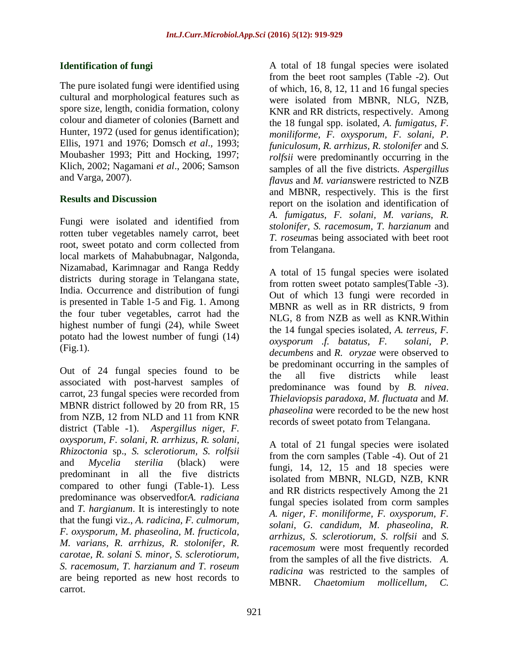## **Identification of fungi**

The pure isolated fungi were identified using cultural and morphological features such as spore size, length, conidia formation, colony colour and diameter of colonies (Barnett and Hunter, 1972 (used for genus identification); Ellis, 1971 and 1976; Domsch *et al*., 1993; Moubasher 1993; Pitt and Hocking, 1997; Klich, 2002; Nagamani *et al*., 2006; Samson and Varga, 2007).

## **Results and Discussion**

Fungi were isolated and identified from rotten tuber vegetables namely carrot, beet root, sweet potato and corm collected from local markets of Mahabubnagar, Nalgonda, Nizamabad, Karimnagar and Ranga Reddy districts during storage in Telangana state, India. Occurrence and distribution of fungi is presented in Table 1-5 and Fig. 1. Among the four tuber vegetables, carrot had the highest number of fungi (24), while Sweet potato had the lowest number of fungi (14) (Fig.1).

Out of 24 fungal species found to be associated with post-harvest samples of carrot, 23 fungal species were recorded from MBNR district followed by 20 from RR, 15 from NZB, 12 from NLD and 11 from KNR district (Table -1). *Aspergillus nige*r, *F. oxysporum, F. solani, R. arrhizus, R. solani, Rhizoctonia* sp., *S. sclerotiorum, S. rolfsii*  and *Mycelia sterilia* (black) were predominant in all the five districts compared to other fungi (Table-1). Less predominance was observedfor*A. radiciana* and *T. hargianum*. It is interestingly to note that the fungi viz., *A. radicina, F. culmorum, F. oxysporum, M. phaseolina, M. fructicola, M. varians, R. arrhizus, R. stolonifer, R. carotae, R. solani S. minor, S. sclerotiorum, S. racemosum, T. harzianum and T. roseum*  are being reported as new host records to carrot.

A total of 18 fungal species were isolated from the beet root samples (Table -2). Out of which, 16, 8, 12, 11 and 16 fungal species were isolated from MBNR, NLG, NZB, KNR and RR districts, respectively. Among the 18 fungal spp. isolated, *A. fumigatus, F. moniliforme, F. oxysporum, F. solani, P. funiculosum, R. arrhizus, R. stolonifer* and *S. rolfsii* were predominantly occurring in the samples of all the five districts. *Aspergillus flavus* and *M. varians*were restricted to NZB and MBNR, respectively. This is the first report on the isolation and identification of *A. fumigatus, F. solani, M. varians, R. stolonifer, S. racemosum, T. harzianum* and *T. roseum*as being associated with beet root from Telangana.

A total of 15 fungal species were isolated from rotten sweet potato samples(Table -3). Out of which 13 fungi were recorded in MBNR as well as in RR districts, 9 from NLG, 8 from NZB as well as KNR.Within the 14 fungal species isolated, *A. terreus, F. oxysporum .f. batatus, F. solani, P. decumbens* and *R. oryzae* were observed to be predominant occurring in the samples of the all five districts while least predominance was found by *B. nivea*. *Thielaviopsis paradoxa*, *M. fluctuata* and *M. phaseolina* were recorded to be the new host records of sweet potato from Telangana.

A total of 21 fungal species were isolated from the corn samples (Table -4). Out of 21 fungi, 14, 12, 15 and 18 species were isolated from MBNR, NLGD, NZB, KNR and RR districts respectively Among the 21 fungal species isolated from corm samples *A. niger, F. moniliforme, F. oxysporum, F. solani, G. candidum, M. phaseolina, R. arrhizus, S. sclerotiorum, S. rolfsii* and *S. racemosum* were most frequently recorded from the samples of all the five districts. *A. radicina* was restricted to the samples of MBNR. *Chaetomium mollicellum, C.*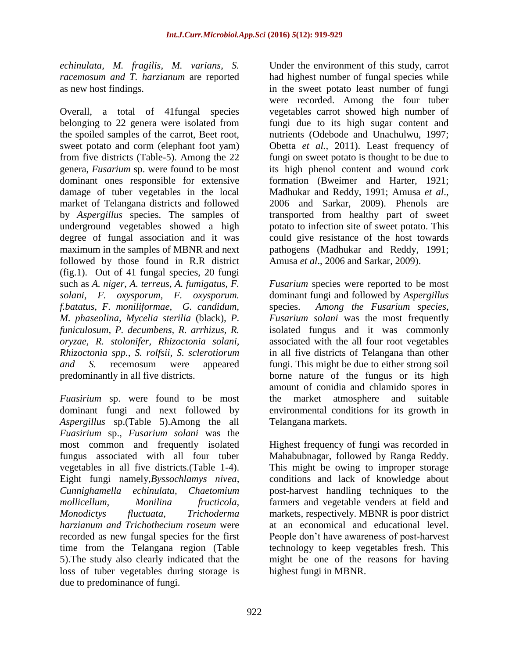*echinulata, M. fragilis, M. varians, S. racemosum and T. harzianum* are reported as new host findings.

Overall, a total of 41fungal species belonging to 22 genera were isolated from the spoiled samples of the carrot, Beet root, sweet potato and corm (elephant foot yam) from five districts (Table-5). Among the 22 genera, *Fusarium* sp. were found to be most dominant ones responsible for extensive damage of tuber vegetables in the local market of Telangana districts and followed by *Aspergillus* species. The samples of underground vegetables showed a high degree of fungal association and it was maximum in the samples of MBNR and next followed by those found in R.R district (fig.1). Out of 41 fungal species, 20 fungi such as *A. niger, A. terreus, A. fumigatus, F. solani, F. oxysporum, F. oxysporum. f.batatus, F. moniliformae, G. candidum, M. phaseolina, Mycelia sterilia* (black)*, P. funiculosum, P. decumbens, R. arrhizus, R. oryzae, R. stolonifer, Rhizoctonia solani, Rhizoctonia spp., S. rolfsii, S. sclerotiorum and S.* recemosum were appeared predominantly in all five districts.

*Fuasirium* sp. were found to be most dominant fungi and next followed by *Aspergillus* sp.(Table 5).Among the all *Fuasirium* sp., *Fusarium solani* was the most common and frequently isolated fungus associated with all four tuber vegetables in all five districts.(Table 1-4). Eight fungi namely,*Byssochlamys nivea, Cunnighamella echinulata, Chaetomium mollicellum, Monilina fructicola, Monodictys fluctuata, Trichoderma harzianum and Trichothecium roseum* were recorded as new fungal species for the first time from the Telangana region (Table 5).The study also clearly indicated that the loss of tuber vegetables during storage is due to predominance of fungi.

Under the environment of this study, carrot had highest number of fungal species while in the sweet potato least number of fungi were recorded. Among the four tuber vegetables carrot showed high number of fungi due to its high sugar content and nutrients (Odebode and Unachulwu, 1997; Obetta *et al.,* 2011). Least frequency of fungi on sweet potato is thought to be due to its high phenol content and wound cork formation (Bweimer and Harter, 1921; Madhukar and Reddy, 1991; Amusa *et al*., 2006 and Sarkar, 2009). Phenols are transported from healthy part of sweet potato to infection site of sweet potato. This could give resistance of the host towards pathogens (Madhukar and Reddy, 1991; Amusa *et al*., 2006 and Sarkar, 2009).

*Fusarium* species were reported to be most dominant fungi and followed by *Aspergillus* species. *Among the Fusarium species, Fusarium solani* was the most frequently isolated fungus and it was commonly associated with the all four root vegetables in all five districts of Telangana than other fungi. This might be due to either strong soil borne nature of the fungus or its high amount of conidia and chlamido spores in the market atmosphere and suitable environmental conditions for its growth in Telangana markets.

Highest frequency of fungi was recorded in Mahabubnagar, followed by Ranga Reddy. This might be owing to improper storage conditions and lack of knowledge about post-harvest handling techniques to the farmers and vegetable venders at field and markets, respectively. MBNR is poor district at an economical and educational level. People don't have awareness of post-harvest technology to keep vegetables fresh. This might be one of the reasons for having highest fungi in MBNR.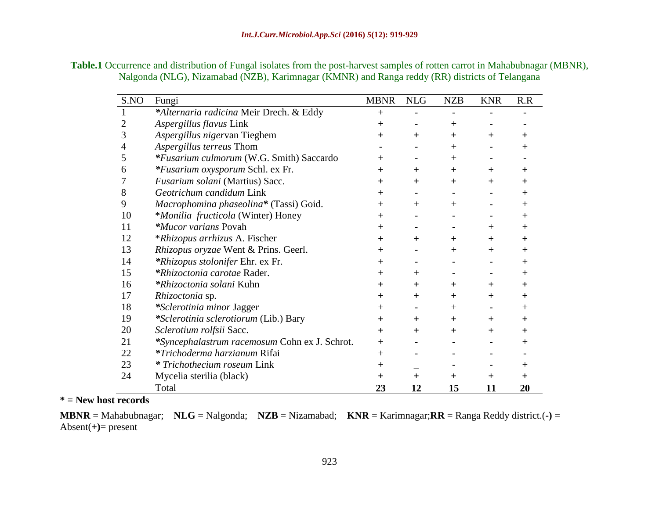| <b>Table.1</b> Occurrence and distribution of Fungal isolates from the post-harvest samples of rotten carrot in Mahabubnagar (MBNR), |  |
|--------------------------------------------------------------------------------------------------------------------------------------|--|
| Nalgonda (NLG), Nizamabad (NZB), Karimnagar (KMNR) and Ranga reddy (RR) districts of Telangana                                       |  |

| S.NO | Fungi                                         | <b>MBNR</b>  | <b>NLG</b> | <b>NZB</b>   | <b>KNR</b>        | R.R          |
|------|-----------------------------------------------|--------------|------------|--------------|-------------------|--------------|
|      | *Alternaria radicina Meir Drech. & Eddy       | $^{+}$       |            |              |                   |              |
| 2    | Aspergillus flavus Link                       | $^{+}$       |            | $^{+}$       |                   |              |
| 3    | Aspergillus nigervan Tieghem                  | $+$          | $+$        | $\pm$        | $+$               | ┿            |
| 4    | Aspergillus terreus Thom                      |              |            | $^{+}$       |                   | $\mathrm{+}$ |
| 5    | *Fusarium culmorum (W.G. Smith) Saccardo      | $^{+}$       |            | $^{+}$       |                   |              |
| 6    | *Fusarium oxysporum Schl. ex Fr.              | $\pm$        | $+$        | $\pm$        | $+$               | $\pm$        |
|      | Fusarium solani (Martius) Sacc.               | $^{+}$       | $\pm$      | ┿            | $+$               | ┿            |
| 8    | Geotrichum candidum Link                      | $^{+}$       |            |              |                   | $\mathrm{+}$ |
| 9    | Macrophomina phaseolina* (Tassi) Goid.        | $^+$         | $+$        | $\mathrm{+}$ |                   | $^+$         |
| 10   | *Monilia fructicola (Winter) Honey            | $^{+}$       |            |              |                   | $^{+}$       |
| 11   | *Mucor varians Povah                          | $^{+}$       |            |              | $+$               | $\mathrm{+}$ |
| 12   | <i>*Rhizopus arrhizus A. Fischer</i>          | $\pm$        | $+$        | ┿            | $+$               | $\pm$        |
| 13   | Rhizopus oryzae Went & Prins. Geerl.          | $\mathrm{+}$ |            | $^+$         | $+$               | $\mathrm{+}$ |
| 14   | *Rhizopus stolonifer Ehr. ex Fr.              | $\mathrm{+}$ |            |              |                   | $\mathrm{+}$ |
| 15   | *Rhizoctonia carotae Rader.                   | $^{+}$       | $+$        |              |                   | $\mathrm{+}$ |
| 16   | *Rhizoctonia solani Kuhn                      | ┿            | $+$        | $\pm$        | $+$               | ┿            |
| 17   | Rhizoctonia sp.                               | $\pm$        | $+$        | $\pm$        | $+$               | $\pm$        |
| 18   | *Sclerotinia minor Jagger                     | $\mathrm{+}$ |            | $^{+}$       | $\qquad \qquad =$ | $\mathrm{+}$ |
| 19   | *Sclerotinia sclerotiorum (Lib.) Bary         | $\pm$        | $\pm$      | $\pm$        | $\pm$             | $\pm$        |
| 20   | Sclerotium rolfsii Sacc.                      | $+$          | $+$        | $+$          | $+$               | ┿            |
| 21   | *Syncephalastrum racemosum Cohn ex J. Schrot. | $+$          |            |              |                   |              |
| 22   | <i>*Trichoderma harzianum Rifai</i>           | $^{+}$       |            |              |                   |              |
| 23   | * Trichothecium roseum Link                   | $^{+}$       |            |              |                   | $^+$         |
| 24   | Mycelia sterilia (black)                      | $\pm$        | $\pm$      | $\pm$        | $\pm$             | $\pm$        |
|      | Total                                         | 23           | 12         | 15           | 11                | 20           |

# **\* = New host records**

**MBNR** = Mahabubnagar; **NLG** = Nalgonda; **NZB** = Nizamabad; **KNR** = Karimnagar;**RR** = Ranga Reddy district.(**-)** = Absent(**+)**= present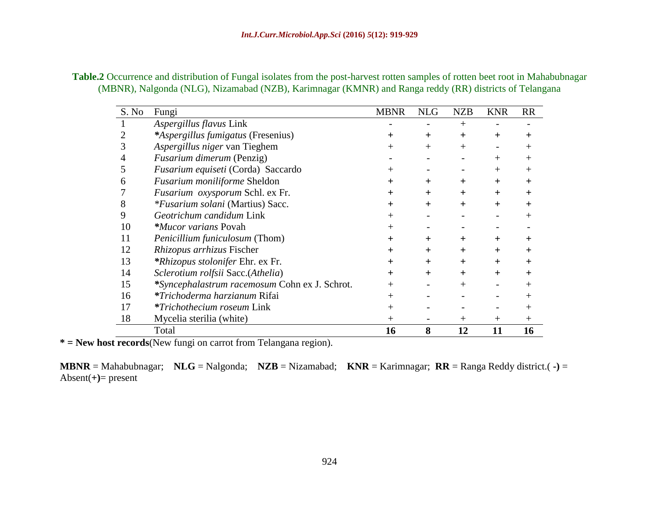| <b>Table.2</b> Occurrence and distribution of Fungal isolates from the post-harvest rotten samples of rotten beet root in Mahabubnagar |
|----------------------------------------------------------------------------------------------------------------------------------------|
| (MBNR), Nalgonda (NLG), Nizamabad (NZB), Karimnagar (KMNR) and Ranga reddy (RR) districts of Telangana                                 |

| S. No | Fungi                                         | <b>MBNR</b>      | <b>NLG</b>     | <b>NZB</b> | <b>KNR</b>     | <b>RR</b> |
|-------|-----------------------------------------------|------------------|----------------|------------|----------------|-----------|
|       | Aspergillus flavus Link                       |                  |                | $^{+}$     |                |           |
|       | *Aspergillus fumigatus (Fresenius)            |                  | ┿              | $\pm$      | $\mathrm{+}$   |           |
|       | Aspergillus niger van Tieghem                 |                  | $\mathrm{+}$   | $^{+}$     |                |           |
|       | <i>Fusarium dimerum</i> (Penzig)              |                  |                |            | $\mathrm{+}$   |           |
|       | Fusarium equiseti (Corda) Saccardo            |                  |                |            | $^+$           |           |
| h     | Fusarium moniliforme Sheldon                  | ┿                | ┿              | ┿          | $\mathrm{+}$   |           |
|       | Fusarium oxysporum Schl. ex Fr.               | ┿                | $\mathrm{+}$   | $\pm$      | $\mathrm{+}$   |           |
| 8     | *Fusarium solani (Martius) Sacc.              | $\div$           | $\overline{+}$ | $+$        | $\overline{+}$ |           |
| 9     | Geotrichum candidum Link                      |                  |                |            |                |           |
| 10    | <i>*Mucor varians</i> Povah                   |                  |                |            |                |           |
| 11    | <i>Penicillium funiculosum</i> (Thom)         | ┿                | $\mathrm{+}$   | ┿          | $\pm$          |           |
| 12    | Rhizopus arrhizus Fischer                     | ┿                | $\mathrm{+}$   | ┿          | $\mathrm{+}$   |           |
| 13    | <i>*Rhizopus stolonifer</i> Ehr. ex Fr.       | $\boldsymbol{+}$ | $\mathrm{+}$   | $\pm$      | ┿              |           |
| 14    | Sclerotium rolfsii Sacc.(Athelia)             | $\boldsymbol{+}$ | $\mathrm{+}$   | $\pm$      | $\mathrm{+}$   |           |
| 15    | *Syncephalastrum racemosum Cohn ex J. Schrot. | $^+$             |                | $^+$       |                |           |
| 16    | *Trichoderma harzianum Rifai                  |                  |                |            |                |           |
| 17    | <i>*Trichothecium roseum Link</i>             | $^+$             |                |            |                |           |
| 18    | Mycelia sterilia (white)                      | $^+$             |                | $^{+}$     | $^+$           | $^+$      |
|       | Total                                         | 16               | 8              | 12         | 11             | 16        |

**\* = New host records**(New fungi on carrot from Telangana region).

**MBNR** = Mahabubnagar; **NLG** = Nalgonda; **NZB** = Nizamabad; **KNR** = Karimnagar; **RR** = Ranga Reddy district.( **-)** = Absent(**+)**= present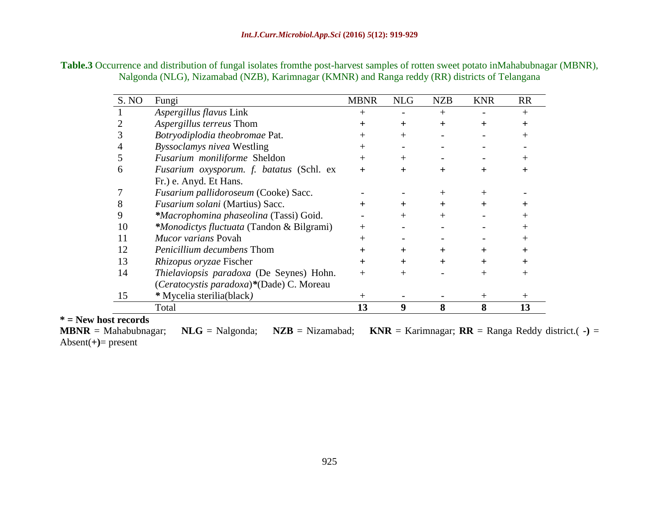| Table.3 Occurrence and distribution of fungal isolates from the post-harvest samples of rotten sweet potato inMahabubnagar (MBNR), |
|------------------------------------------------------------------------------------------------------------------------------------|
| Nalgonda (NLG), Nizamabad (NZB), Karimnagar (KMNR) and Ranga reddy (RR) districts of Telangana                                     |

| S. NO | Fungi                                     | <b>MBNR</b>    | <b>NLG</b> | <b>NZB</b>   | <b>KNR</b> | <b>RR</b>        |
|-------|-------------------------------------------|----------------|------------|--------------|------------|------------------|
|       | Aspergillus flavus Link                   | $^{+}$         |            | $^{+}$       |            | $^{+}$           |
|       | Aspergillus terreus Thom                  | $^{+}$         | $\ddot{}$  | $+$          | $\div$     | $\div$           |
|       | Botryodiplodia theobromae Pat.            | $\overline{+}$ | $^{+}$     |              |            | $^+$             |
|       | <i>Byssoclamys nivea</i> Westling         | $^{+}$         |            |              |            |                  |
| 5     | Fusarium moniliforme Sheldon              | $^{+}$         |            |              |            |                  |
| 6     | Fusarium oxysporum. f. batatus (Schl. ex  | $^{+}$         | $\pm$      | $\mathrm{+}$ | $\div$     |                  |
|       | Fr.) e. Anyd. Et Hans.                    |                |            |              |            |                  |
|       | Fusarium pallidoroseum (Cooke) Sacc.      |                |            |              |            |                  |
|       | Fusarium solani (Martius) Sacc.           | $\pm$          |            |              |            |                  |
| 9     | *Macrophomina phaseolina (Tassi) Goid.    |                |            | $\, + \,$    |            |                  |
| 10    | *Monodictys fluctuata (Tandon & Bilgrami) |                |            |              |            | $\,+\,$          |
| 11    | <i>Mucor varians</i> Povah                | $^{+}$         |            |              |            | $\,+\,$          |
| 12    | <i>Penicillium decumbens</i> Thom         | $\div$         | $+$        | $+$          | $\div$     | $\boldsymbol{+}$ |
| 13    | Rhizopus oryzae Fischer                   | $\div$         | $+$        | $\mathrm{+}$ | $\div$     | $\div$           |
| 14    | Thielaviopsis paradoxa (De Seynes) Hohn.  | $^{+}$         | $+$        |              | $^{+}$     | $^{+}$           |
|       | (Ceratocystis paradoxa)*(Dade) C. Moreau  |                |            |              |            |                  |
| 15    | * Mycelia sterilia(black)                 | $^{+}$         |            |              | $^+$       | $^{+}$           |
|       | Total                                     | 13             | 9          | 8            | 8          | 13               |

**\* = New host records**  $NLG =$  Malgonda;  $NZB =$  Nizamabad;  $KNR =$  Karimnagar;  $RR =$  Ranga Reddy district.( **-**) = Absent(**+)**= present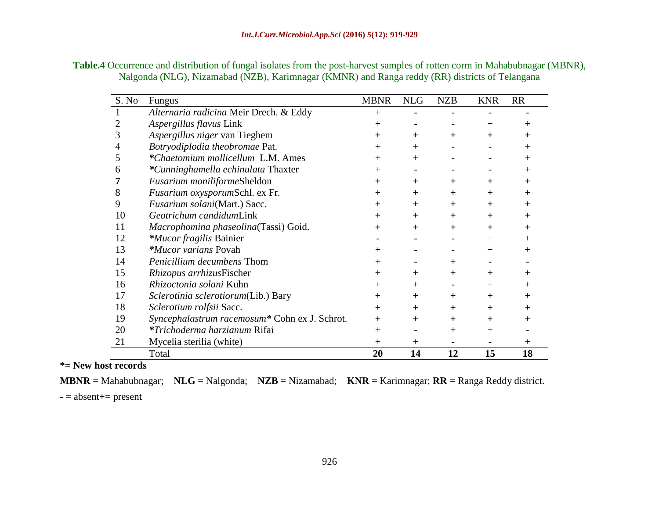| <b>Table.4</b> Occurrence and distribution of fungal isolates from the post-harvest samples of rotten corm in Mahabubnagar (MBNR), |  |
|------------------------------------------------------------------------------------------------------------------------------------|--|
| Nalgonda (NLG), Nizamabad (NZB), Karimnagar (KMNR) and Ranga reddy (RR) districts of Telangana                                     |  |

| S. No | Fungus                                        | <b>MBNR</b>    | <b>NLG</b> | <b>NZB</b> | <b>KNR</b> | <b>RR</b>    |
|-------|-----------------------------------------------|----------------|------------|------------|------------|--------------|
|       | Alternaria radicina Meir Drech. & Eddy        | $^{+}$         |            |            |            |              |
|       | Aspergillus flavus Link                       | $^{+}$         |            |            | $^+$       | $\mathrm{+}$ |
| 3     | Aspergillus niger van Tieghem                 | $^{+}$         | $+$        | $\pm$      | $\div$     | ┿            |
| 4     | Botryodiplodia theobromae Pat.                | $^{+}$         | $^{+}$     |            |            | $\mathrm{+}$ |
| 5     | *Chaetomium mollicellum L.M. Ames             | $^{+}$         | $^{+}$     |            |            | $^+$         |
| 6     | *Cunninghamella echinulata Thaxter            | $^{+}$         |            |            |            | $^+$         |
|       | Fusarium moniliformeSheldon                   | $^{+}$         | $\ddot{}$  | $\pm$      | $\ddot{}$  | $\ddot{}$    |
| 8     | Fusarium oxysporumSchl. ex Fr.                | $\div$         | $\ddot{}$  | $\pm$      | $\div$     | ┿            |
| 9     | Fusarium solani(Mart.) Sacc.                  | $\div$         | $\pm$      | $\pm$      | $\pm$      | ┿            |
| 10    | Geotrichum candidumLink                       | $\div$         | $\ddot{}$  | $\pm$      | $\div$     | ┿            |
| 11    | Macrophomina phaseolina(Tassi) Goid.          | $\div$         | $\ddot{}$  | $\pm$      | $\div$     | ┿            |
| 12    | *Mucor fragilis Bainier                       |                |            |            | $^{+}$     | $^+$         |
| 13    | <i>*Mucor varians</i> Povah                   | $\pm$          |            |            | $^+$       | $^+$         |
| 14    | Penicillium decumbens Thom                    | $\overline{+}$ |            | $^+$       |            |              |
| 15    | Rhizopus arrhizusFischer                      | $+$            | $\pm$      | $\pm$      | $\pm$      | ┿            |
| 16    | Rhizoctonia solani Kuhn                       | $\mathrm{+}$   | $+$        |            | $^+$       | $^+$         |
| 17    | Sclerotinia sclerotiorum(Lib.) Bary           | $\pm$          | $\pm$      | $\pm$      | $\div$     | ┿            |
| 18    | Sclerotium rolfsii Sacc.                      | $^{+}$         | $\ddot{}$  | $\pm$      | $\div$     | ┿            |
| 19    | Syncephalastrum racemosum* Cohn ex J. Schrot. | $\div$         | $\ddot{}$  | $\pm$      | $\div$     | ┿            |
| 20    | *Trichoderma harzianum Rifai                  | $^{+}$         |            | $^+$       | $^{+}$     |              |
| 21    | Mycelia sterilia (white)                      | $^{+}$         | $^+$       |            |            | $^+$         |
|       | Total                                         | 20             | 14         | 12         | 15         | 18           |

**\*= New host records**

**MBNR** = Mahabubnagar; **NLG** = Nalgonda; **NZB** = Nizamabad; **KNR** = Karimnagar; **RR** = Ranga Reddy district.

**-** = absent**+**= present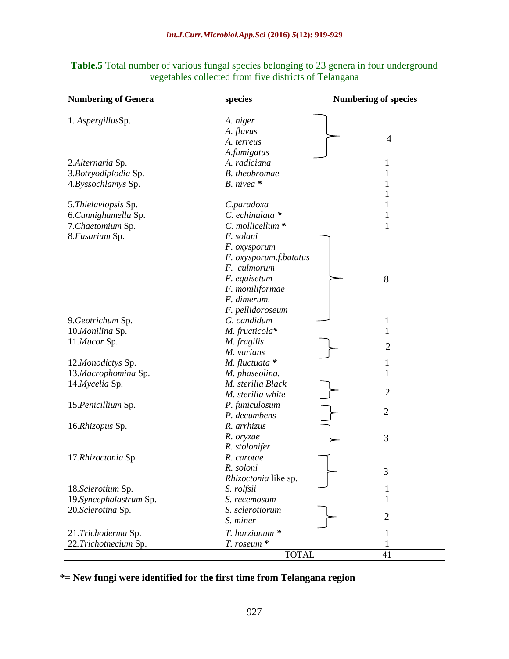| <b>Numbering of Genera</b> | species                | <b>Numbering of species</b> |
|----------------------------|------------------------|-----------------------------|
|                            |                        |                             |
| 1. AspergillusSp.          | A. niger               |                             |
|                            | A. flavus              |                             |
|                            | A. terreus             | $\overline{4}$              |
|                            | A.fumigatus            |                             |
| 2.Alternaria Sp.           | A. radiciana           | 1                           |
| 3.Botryodiplodia Sp.       | <b>B.</b> theobromae   | 1                           |
| 4.Byssochlamys Sp.         | $B. nivea$ *           | 1                           |
|                            |                        | 1                           |
| 5. Thielaviopsis Sp.       | C.paradoxa             | 1                           |
| 6.Cunnighamella Sp.        | C. echinulata *        | $\mathbf{1}$                |
| 7. Chaetomium Sp.          | C. mollicellum *       | $\mathbf{1}$                |
| 8. Fusarium Sp.            | F. solani              |                             |
|                            | F. oxysporum           |                             |
|                            | F. oxysporum.f.batatus |                             |
|                            | F. culmorum            |                             |
|                            | F. equisetum           | 8                           |
|                            | F. moniliformae        |                             |
|                            | F. dimerum.            |                             |
|                            | F. pellidoroseum       |                             |
| 9.Geotrichum Sp.           | G. candidum            | $\mathbf{1}$                |
| 10.Monilina Sp.            | M. fructicola*         | 1                           |
| 11.Mucor Sp.               | M. fragilis            |                             |
|                            | M. varians             | $\overline{2}$              |
| 12.Monodictys Sp.          | $M.$ fluctuata $*$     | $\mathbf{1}$                |
| 13.Macrophomina Sp.        | M. phaseolina.         | 1                           |
| 14.Mycelia Sp.             | M. sterilia Black      |                             |
|                            | M. sterilia white      | $\overline{2}$              |
| 15. Penicillium Sp.        | P. funiculosum         |                             |
|                            | P. decumbens           | $\overline{2}$              |
| 16.Rhizopus Sp.            | R. arrhizus            |                             |
|                            | R. oryzae              | 3                           |
|                            | R. stolonifer          |                             |
| 17.Rhizoctonia Sp.         | R. carotae             |                             |
|                            | R. soloni              |                             |
|                            | Rhizoctonia like sp.   | 3                           |
| 18.Sclerotium Sp.          | S. rolfsii             | 1                           |
| 19. Syncephalastrum Sp.    | S. recemosum           | 1                           |
| 20.Sclerotina Sp.          | S. sclerotiorum        |                             |
|                            | S. miner               | $\overline{2}$              |
| 21.Trichoderma Sp.         | T. harzianum *         | 1                           |
| 22. Trichothecium Sp.      | T. roseum *            | 1                           |
|                            | <b>TOTAL</b>           | 41                          |

# Table.5 Total number of various fungal species belonging to 23 genera in four underground vegetables collected from five districts of Telangana

**\***= **New fungi were identified for the first time from Telangana region**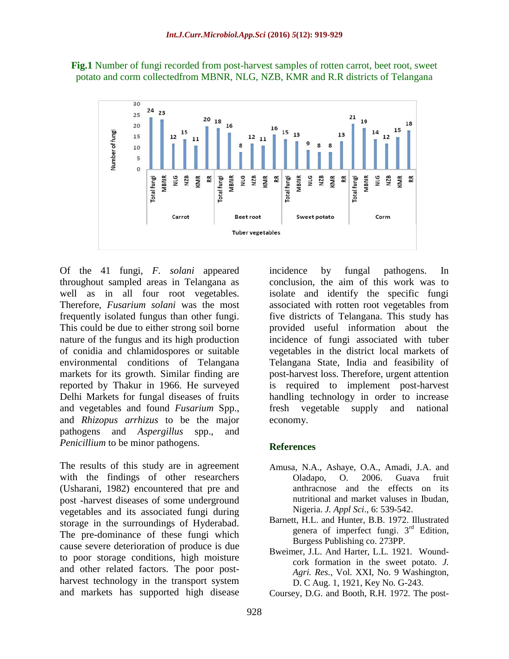

**Fig.1** Number of fungi recorded from post-harvest samples of rotten carrot, beet root, sweet potato and corm collectedfrom MBNR, NLG, NZB, KMR and R.R districts of Telangana

Of the 41 fungi, *F. solani* appeared throughout sampled areas in Telangana as well as in all four root vegetables. Therefore, *Fusarium solani* was the most frequently isolated fungus than other fungi. This could be due to either strong soil borne nature of the fungus and its high production of conidia and chlamidospores or suitable environmental conditions of Telangana markets for its growth. Similar finding are reported by Thakur in 1966. He surveyed Delhi Markets for fungal diseases of fruits and vegetables and found *Fusarium* Spp., and *Rhizopus arrhizus* to be the major pathogens and *Aspergillus* spp., and *Penicillium* to be minor pathogens.

The results of this study are in agreement with the findings of other researchers (Usharani, 1982) encountered that pre and post -harvest diseases of some underground vegetables and its associated fungi during storage in the surroundings of Hyderabad. The pre-dominance of these fungi which cause severe deterioration of produce is due to poor storage conditions, high moisture and other related factors. The poor postharvest technology in the transport system and markets has supported high disease

incidence by fungal pathogens. In conclusion, the aim of this work was to isolate and identify the specific fungi associated with rotten root vegetables from five districts of Telangana. This study has provided useful information about the incidence of fungi associated with tuber vegetables in the district local markets of Telangana State, India and feasibility of post-harvest loss. Therefore, urgent attention is required to implement post-harvest handling technology in order to increase fresh vegetable supply and national economy.

## **References**

- Amusa, N.A., Ashaye, O.A., Amadi, J.A. and Oladapo, O. 2006. Guava fruit anthracnose and the effects on its nutritional and market valuses in Ibudan, Nigeria. *J. Appl Sci*., 6: 539-542.
- Barnett, H.L. and Hunter, B.B. 1972. Illustrated genera of imperfect fungi.  $3<sup>rd</sup>$  Edition, Burgess Publishing co. 273PP.
- Bweimer, J.L. And Harter, L.L*.* 1921*.* Woundcork formation in the sweet potato. *J. Agri. Res.,* Vol. XXI, No. 9 Washington, D. C Aug. 1, 1921, Key No. G-243.
- Coursey, D.G. and Booth, R.H*.* 1972*.* The post-